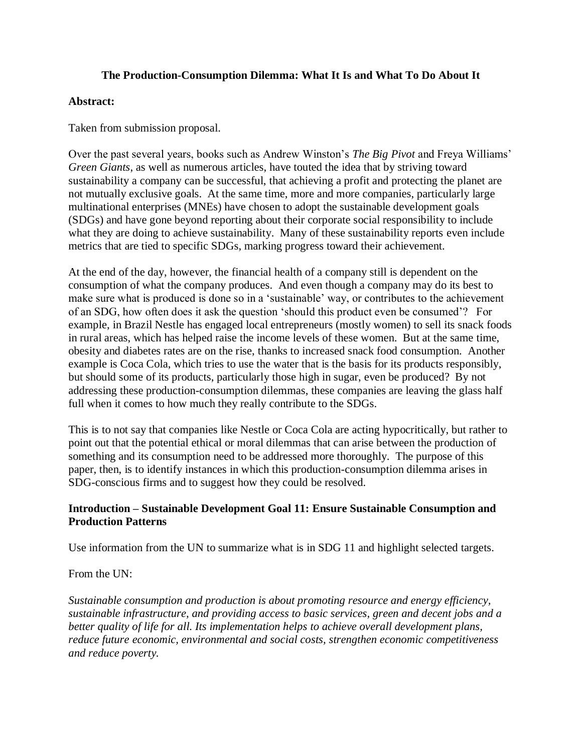## **The Production-Consumption Dilemma: What It Is and What To Do About It**

## **Abstract:**

Taken from submission proposal.

Over the past several years, books such as Andrew Winston's *The Big Pivot* and Freya Williams' *Green Giants*, as well as numerous articles, have touted the idea that by striving toward sustainability a company can be successful, that achieving a profit and protecting the planet are not mutually exclusive goals. At the same time, more and more companies, particularly large multinational enterprises (MNEs) have chosen to adopt the sustainable development goals (SDGs) and have gone beyond reporting about their corporate social responsibility to include what they are doing to achieve sustainability. Many of these sustainability reports even include metrics that are tied to specific SDGs, marking progress toward their achievement.

At the end of the day, however, the financial health of a company still is dependent on the consumption of what the company produces. And even though a company may do its best to make sure what is produced is done so in a 'sustainable' way, or contributes to the achievement of an SDG, how often does it ask the question 'should this product even be consumed'? For example, in Brazil Nestle has engaged local entrepreneurs (mostly women) to sell its snack foods in rural areas, which has helped raise the income levels of these women. But at the same time, obesity and diabetes rates are on the rise, thanks to increased snack food consumption. Another example is Coca Cola, which tries to use the water that is the basis for its products responsibly, but should some of its products, particularly those high in sugar, even be produced? By not addressing these production-consumption dilemmas, these companies are leaving the glass half full when it comes to how much they really contribute to the SDGs.

This is to not say that companies like Nestle or Coca Cola are acting hypocritically, but rather to point out that the potential ethical or moral dilemmas that can arise between the production of something and its consumption need to be addressed more thoroughly. The purpose of this paper, then, is to identify instances in which this production-consumption dilemma arises in SDG-conscious firms and to suggest how they could be resolved.

## **Introduction – Sustainable Development Goal 11: Ensure Sustainable Consumption and Production Patterns**

Use information from the UN to summarize what is in SDG 11 and highlight selected targets.

From the UN:

*Sustainable consumption and production is about promoting resource and energy efficiency, sustainable infrastructure, and providing access to basic services, green and decent jobs and a better quality of life for all. Its implementation helps to achieve overall development plans, reduce future economic, environmental and social costs, strengthen economic competitiveness and reduce poverty.*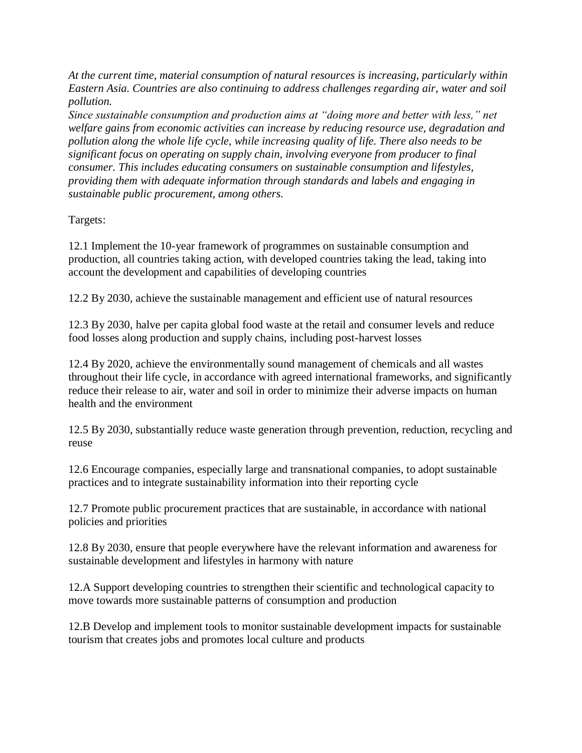*At the current time, material consumption of natural resources is increasing, particularly within Eastern Asia. Countries are also continuing to address challenges regarding air, water and soil pollution.*

*Since sustainable consumption and production aims at "doing more and better with less," net welfare gains from economic activities can increase by reducing resource use, degradation and pollution along the whole life cycle, while increasing quality of life. There also needs to be significant focus on operating on supply chain, involving everyone from producer to final consumer. This includes educating consumers on sustainable consumption and lifestyles, providing them with adequate information through standards and labels and engaging in sustainable public procurement, among others.*

Targets:

12.1 Implement the 10-year framework of programmes on sustainable consumption and production, all countries taking action, with developed countries taking the lead, taking into account the development and capabilities of developing countries

12.2 By 2030, achieve the sustainable management and efficient use of natural resources

12.3 By 2030, halve per capita global food waste at the retail and consumer levels and reduce food losses along production and supply chains, including post-harvest losses

12.4 By 2020, achieve the environmentally sound management of chemicals and all wastes throughout their life cycle, in accordance with agreed international frameworks, and significantly reduce their release to air, water and soil in order to minimize their adverse impacts on human health and the environment

12.5 By 2030, substantially reduce waste generation through prevention, reduction, recycling and reuse

12.6 Encourage companies, especially large and transnational companies, to adopt sustainable practices and to integrate sustainability information into their reporting cycle

12.7 Promote public procurement practices that are sustainable, in accordance with national policies and priorities

12.8 By 2030, ensure that people everywhere have the relevant information and awareness for sustainable development and lifestyles in harmony with nature

12.A Support developing countries to strengthen their scientific and technological capacity to move towards more sustainable patterns of consumption and production

12.B Develop and implement tools to monitor sustainable development impacts for sustainable tourism that creates jobs and promotes local culture and products